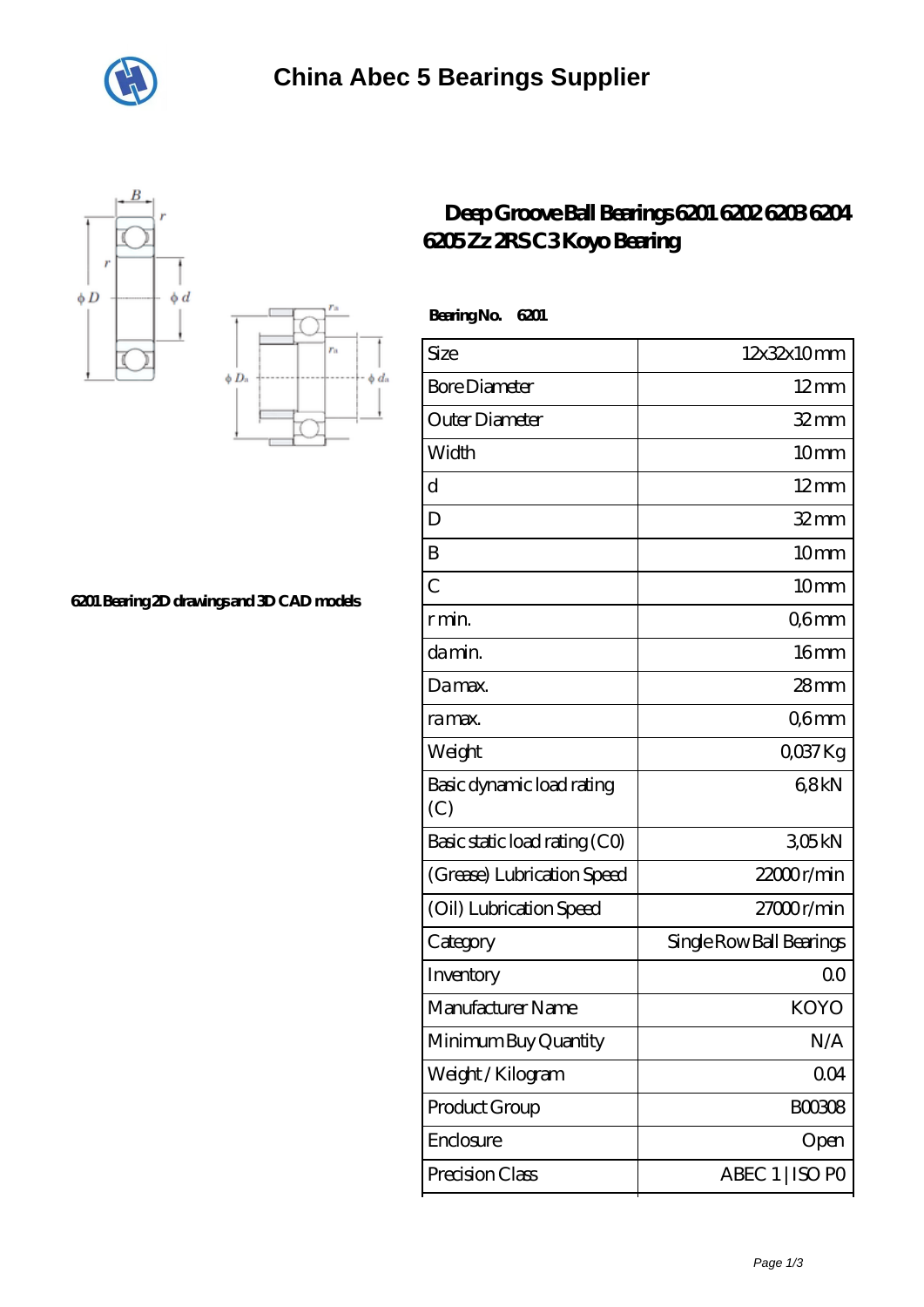





## **[6201 Bearing 2D drawings and 3D CAD models](https://m.hotel-decalais.com/pic-590785.html)**

## **[Deep Groove Ball Bearings 6201 6202 6203 6204](https://m.hotel-decalais.com/koyo-c3-bearing/590785.html) [6205 Zz 2RS C3 Koyo Bearing](https://m.hotel-decalais.com/koyo-c3-bearing/590785.html)**

| <b>BearingNo.</b><br>6201        |                          |
|----------------------------------|--------------------------|
| Size                             | 12x32x10mm               |
| <b>Bore Diameter</b>             | $12 \text{mm}$           |
| Outer Diameter                   | $32$ mm                  |
| Width                            | 10mm                     |
| d                                | $12 \text{mm}$           |
| D                                | $32 \text{mm}$           |
| B                                | 10 <sub>mm</sub>         |
| $\overline{C}$                   | 10 <sub>mm</sub>         |
| r min.                           | Q6mm                     |
| da min.                          | 16mm                     |
| Damax.                           | 28 <sub>mm</sub>         |
| ra max.                          | Q6mm                     |
| Weight                           | $Q$ <sup>O</sup> $37$ Kg |
| Basic dynamic load rating<br>(C) | 68kN                     |
| Basic static load rating (CO)    | 305kN                    |
| (Grease) Lubrication Speed       | 22000r/min               |
| (Oil) Lubrication Speed          | 27000r/min               |
| Category                         | Single Row Ball Bearings |
| Inventory                        | 0 <sup>0</sup>           |
| Manufacturer Name                | KOYO                     |
| Minimum Buy Quantity             | N/A                      |
| Weight / Kilogram                | 004                      |
| Product Group                    | <b>BOO3O8</b>            |
| Enclosure                        | Open                     |
| Precision Class                  | ABEC 1   ISO PO          |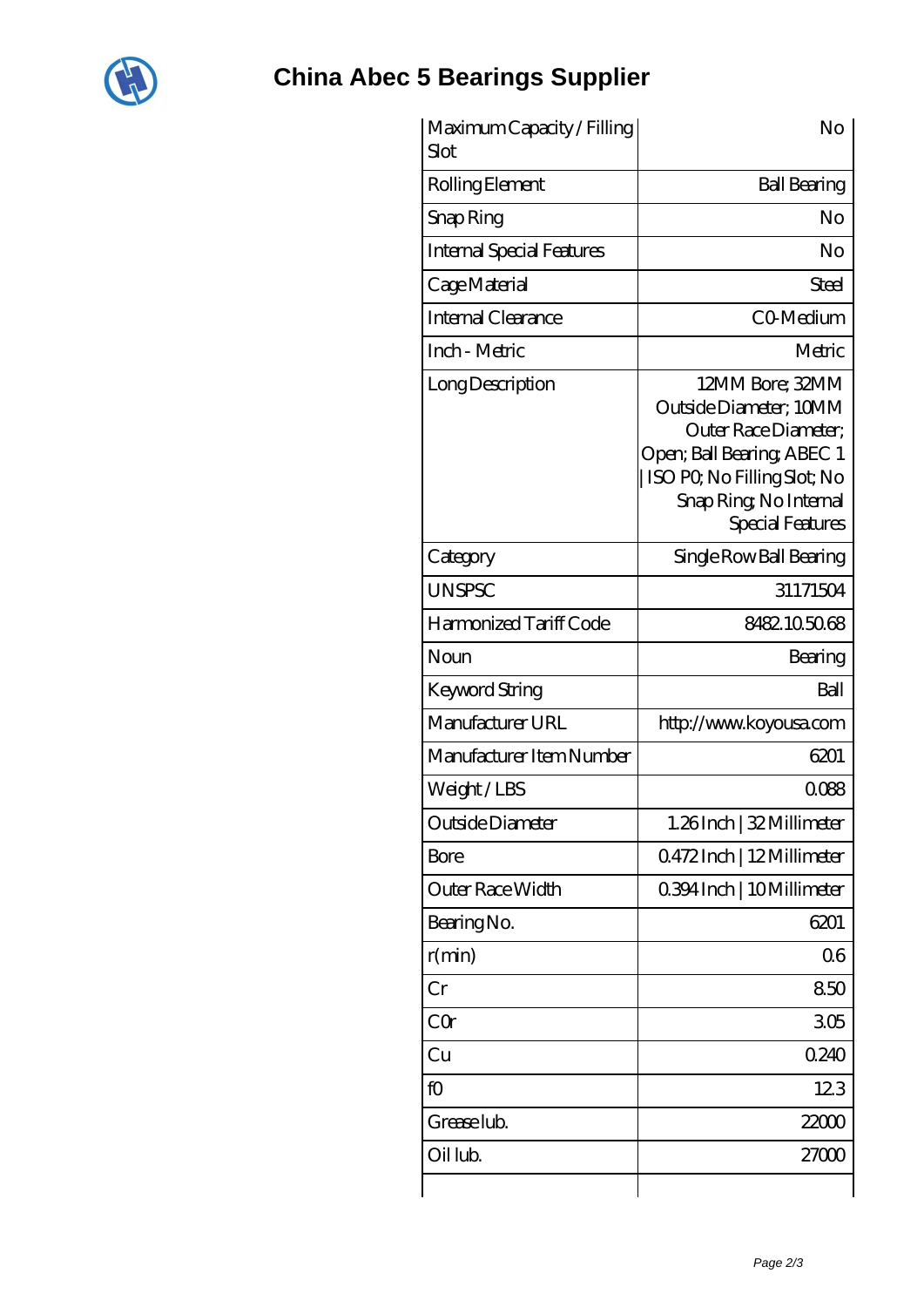

| Maximum Capacity / Filling<br>Slot | No                                                                                                                                                                                 |
|------------------------------------|------------------------------------------------------------------------------------------------------------------------------------------------------------------------------------|
| Rolling Element                    | <b>Ball Bearing</b>                                                                                                                                                                |
| Snap Ring                          | No                                                                                                                                                                                 |
| <b>Internal Special Features</b>   | No                                                                                                                                                                                 |
| Cage Material                      | <b>Steel</b>                                                                                                                                                                       |
| Internal Clearance                 | CO-Medium                                                                                                                                                                          |
| Inch - Metric                      | Metric                                                                                                                                                                             |
| Long Description                   | 12MM Bore; 32MM<br>Outside Diameter; 10MM<br>Outer Race Diameter:<br>Open; Ball Bearing; ABEC 1<br>ISO PQ No Filling Slot; No<br>Snap Ring, No Internal<br><b>Special Features</b> |
| Category                           | Single Row Ball Bearing                                                                                                                                                            |
| <b>UNSPSC</b>                      | 31171504                                                                                                                                                                           |
| Harmonized Tariff Code             | 8482105068                                                                                                                                                                         |
| Noun                               | Bearing                                                                                                                                                                            |
| Keyword String                     | Ball                                                                                                                                                                               |
| Manufacturer URL                   | http://www.koyousa.com                                                                                                                                                             |
| Manufacturer Item Number           | 6201                                                                                                                                                                               |
| Weight/LBS                         | 0088                                                                                                                                                                               |
| Outside Diameter                   | 1.26Inch   32 Millimeter                                                                                                                                                           |
| Bore                               | Q472Inch   12Millimeter                                                                                                                                                            |
| Outer Race Width                   | 0.394 Inch   10 Millimeter                                                                                                                                                         |
| Bearing No.                        | 6201                                                                                                                                                                               |
| r(min)                             | 06                                                                                                                                                                                 |
| Cr                                 | 850                                                                                                                                                                                |
| CQr                                | 305                                                                                                                                                                                |
| Cu                                 | 0240                                                                                                                                                                               |
| fO                                 | 123                                                                                                                                                                                |
| Grease lub.                        | 22000                                                                                                                                                                              |
| Oil lub.                           | 27000                                                                                                                                                                              |
|                                    |                                                                                                                                                                                    |